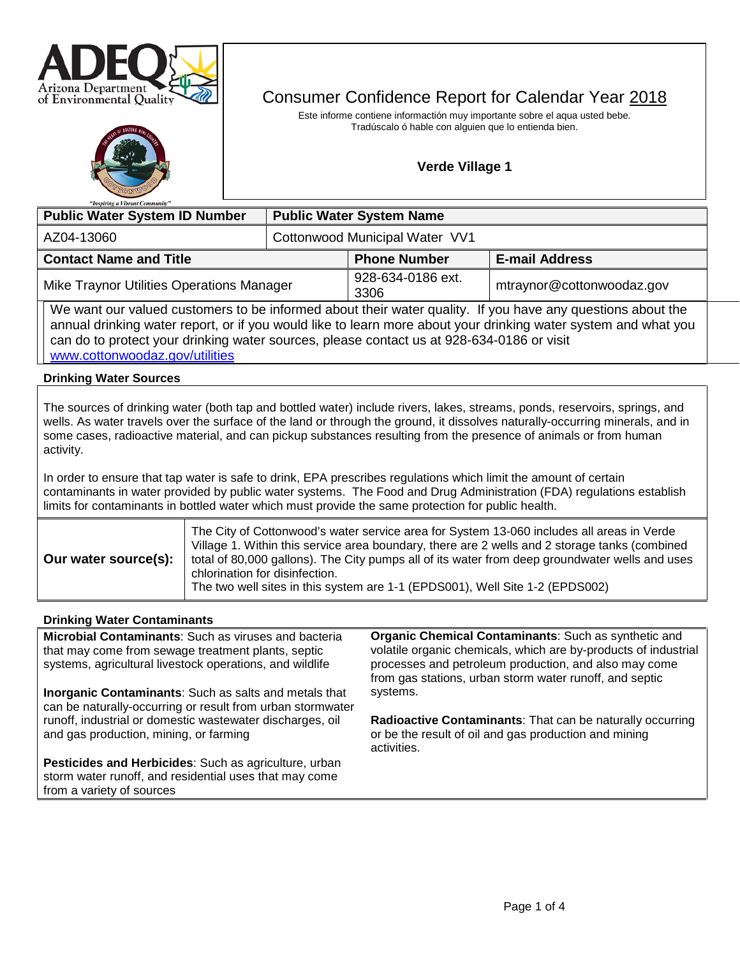



# Consumer Confidence Report for Calendar Year 2018

Este informe contiene informactión muy importante sobre el aqua usted bebe. Tradúscalo ó hable con alguien que lo entienda bien.

# **Verde Village 1**

| "Inspiring a Vibrant Community"                                                                                                                                                                                                                                                                                                                                                              |  |                                 |                           |                           |  |  |
|----------------------------------------------------------------------------------------------------------------------------------------------------------------------------------------------------------------------------------------------------------------------------------------------------------------------------------------------------------------------------------------------|--|---------------------------------|---------------------------|---------------------------|--|--|
| <b>Public Water System ID Number</b>                                                                                                                                                                                                                                                                                                                                                         |  | <b>Public Water System Name</b> |                           |                           |  |  |
| AZ04-13060                                                                                                                                                                                                                                                                                                                                                                                   |  | Cottonwood Municipal Water VV1  |                           |                           |  |  |
| <b>Contact Name and Title</b>                                                                                                                                                                                                                                                                                                                                                                |  |                                 | <b>Phone Number</b>       | <b>E-mail Address</b>     |  |  |
| Mike Traynor Utilities Operations Manager                                                                                                                                                                                                                                                                                                                                                    |  |                                 | 928-634-0186 ext.<br>3306 | mtraynor@cottonwoodaz.gov |  |  |
| We want our valued customers to be informed about their water quality. If you have any questions about the<br>annual drinking water report, or if you would like to learn more about your drinking water system and what you<br>can do to protect your drinking water sources, please contact us at 928-634-0186 or visit<br>www.cottonwoodaz.gov/utilities                                  |  |                                 |                           |                           |  |  |
| <b>Drinking Water Sources</b>                                                                                                                                                                                                                                                                                                                                                                |  |                                 |                           |                           |  |  |
| The sources of drinking water (both tap and bottled water) include rivers, lakes, streams, ponds, reservoirs, springs, and<br>wells. As water travels over the surface of the land or through the ground, it dissolves naturally-occurring minerals, and in<br>some cases, radioactive material, and can pickup substances resulting from the presence of animals or from human<br>activity. |  |                                 |                           |                           |  |  |
| In order to ensure that tap water is safe to drink, EPA prescribes regulations which limit the amount of certain<br>contaminants in water provided by public water systems. The Food and Drug Administration (FDA) regulations establish<br>limits for contaminants in bottled water which must provide the same protection for public health.                                               |  |                                 |                           |                           |  |  |
| The City of Cottonwood's water service area for System 13-060 includes all areas in Verde<br>Village 1. Within this service area boundary, there are 2 wells and 2 storage tanks (combined<br>Our water source(s):<br>total of 80,000 gallons). The City pumps all of its water from deep groundwater wells and uses<br>chlorination for disinfection.                                       |  |                                 |                           |                           |  |  |

The two well sites in this system are 1-1 (EPDS001), Well Site 1-2 (EPDS002)

# **Drinking Water Contaminants**

**Microbial Contaminants**: Such as viruses and bacteria that may come from sewage treatment plants, septic systems, agricultural livestock operations, and wildlife **Inorganic Contaminants**: Such as salts and metals that can be naturally-occurring or result from urban stormwater runoff, industrial or domestic wastewater discharges, oil and gas production, mining, or farming **Pesticides and Herbicides**: Such as agriculture, urban storm water runoff, and residential uses that may come from a variety of sources **Organic Chemical Contaminants**: Such as synthetic and volatile organic chemicals, which are by-products of industrial processes and petroleum production, and also may come from gas stations, urban storm water runoff, and septic systems. **Radioactive Contaminants**: That can be naturally occurring or be the result of oil and gas production and mining activities.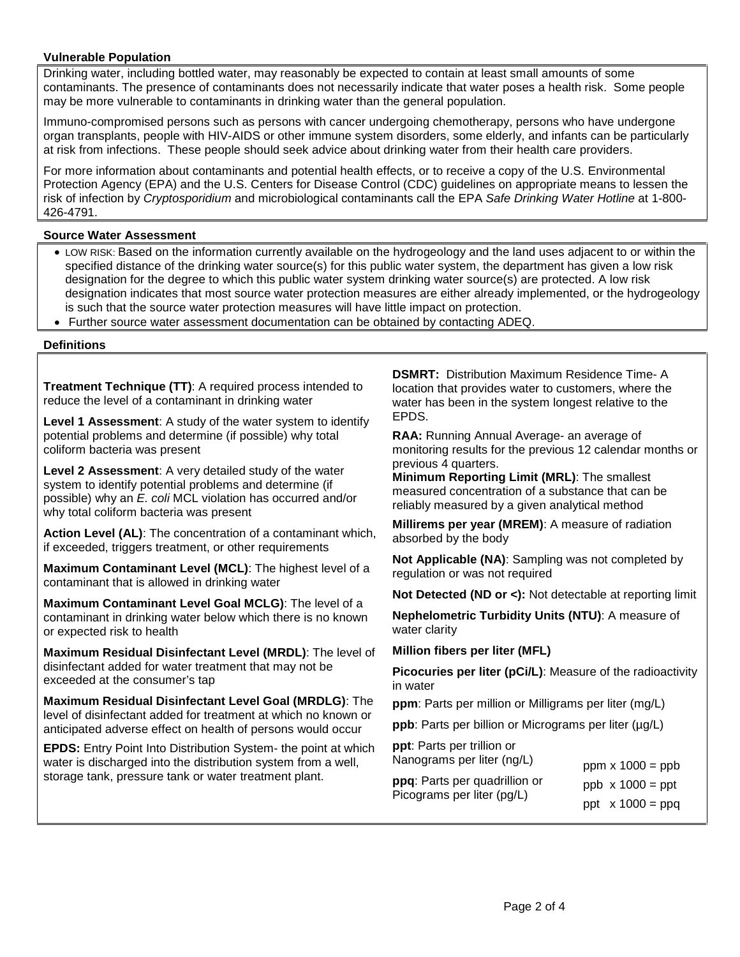## **Vulnerable Population**

Drinking water, including bottled water, may reasonably be expected to contain at least small amounts of some contaminants. The presence of contaminants does not necessarily indicate that water poses a health risk. Some people may be more vulnerable to contaminants in drinking water than the general population.

Immuno-compromised persons such as persons with cancer undergoing chemotherapy, persons who have undergone organ transplants, people with HIV-AIDS or other immune system disorders, some elderly, and infants can be particularly at risk from infections. These people should seek advice about drinking water from their health care providers.

For more information about contaminants and potential health effects, or to receive a copy of the U.S. Environmental Protection Agency (EPA) and the U.S. Centers for Disease Control (CDC) guidelines on appropriate means to lessen the risk of infection by *Cryptosporidium* and microbiological contaminants call the EPA *Safe Drinking Water Hotline* at 1-800- 426-4791.

## **Source Water Assessment**

- LOW RISK: Based on the information currently available on the hydrogeology and the land uses adjacent to or within the specified distance of the drinking water source(s) for this public water system, the department has given a low risk designation for the degree to which this public water system drinking water source(s) are protected. A low risk designation indicates that most source water protection measures are either already implemented, or the hydrogeology is such that the source water protection measures will have little impact on protection.
- Further source water assessment documentation can be obtained by contacting ADEQ.

#### **Definitions**

**Treatment Technique (TT)**: A required process intended to reduce the level of a contaminant in drinking water

**Level 1 Assessment**: A study of the water system to identify potential problems and determine (if possible) why total coliform bacteria was present

**Level 2 Assessment**: A very detailed study of the water system to identify potential problems and determine (if possible) why an *E. coli* MCL violation has occurred and/or why total coliform bacteria was present

**Action Level (AL)**: The concentration of a contaminant which, if exceeded, triggers treatment, or other requirements

**Maximum Contaminant Level (MCL)**: The highest level of a contaminant that is allowed in drinking water

**Maximum Contaminant Level Goal MCLG)**: The level of a contaminant in drinking water below which there is no known or expected risk to health

**Maximum Residual Disinfectant Level (MRDL)**: The level of disinfectant added for water treatment that may not be exceeded at the consumer's tap

**Maximum Residual Disinfectant Level Goal (MRDLG)**: The level of disinfectant added for treatment at which no known or anticipated adverse effect on health of persons would occur

**EPDS:** Entry Point Into Distribution System- the point at which water is discharged into the distribution system from a well, storage tank, pressure tank or water treatment plant.

**DSMRT:** Distribution Maximum Residence Time- A location that provides water to customers, where the water has been in the system longest relative to the EPDS.

**RAA:** Running Annual Average- an average of monitoring results for the previous 12 calendar months or previous 4 quarters.

**Minimum Reporting Limit (MRL)**: The smallest measured concentration of a substance that can be reliably measured by a given analytical method

**Millirems per year (MREM)**: A measure of radiation absorbed by the body

**Not Applicable (NA)**: Sampling was not completed by regulation or was not required

**Not Detected (ND or <):** Not detectable at reporting limit

**Nephelometric Turbidity Units (NTU)**: A measure of water clarity

**Million fibers per liter (MFL)**

**Picocuries per liter (pCi/L)**: Measure of the radioactivity in water

**ppm**: Parts per million or Milligrams per liter (mg/L)

**ppb**: Parts per billion or Micrograms per liter ( $\mu$ g/L)

**ppt**: Parts per trillion or Nanograms per liter (ng/L) **ppq**: Parts per quadrillion or

Picograms per liter (pg/L)

ppm  $x 1000 = ppb$ ppb  $x 1000 = ppt$ ppt  $x 1000 = ppq$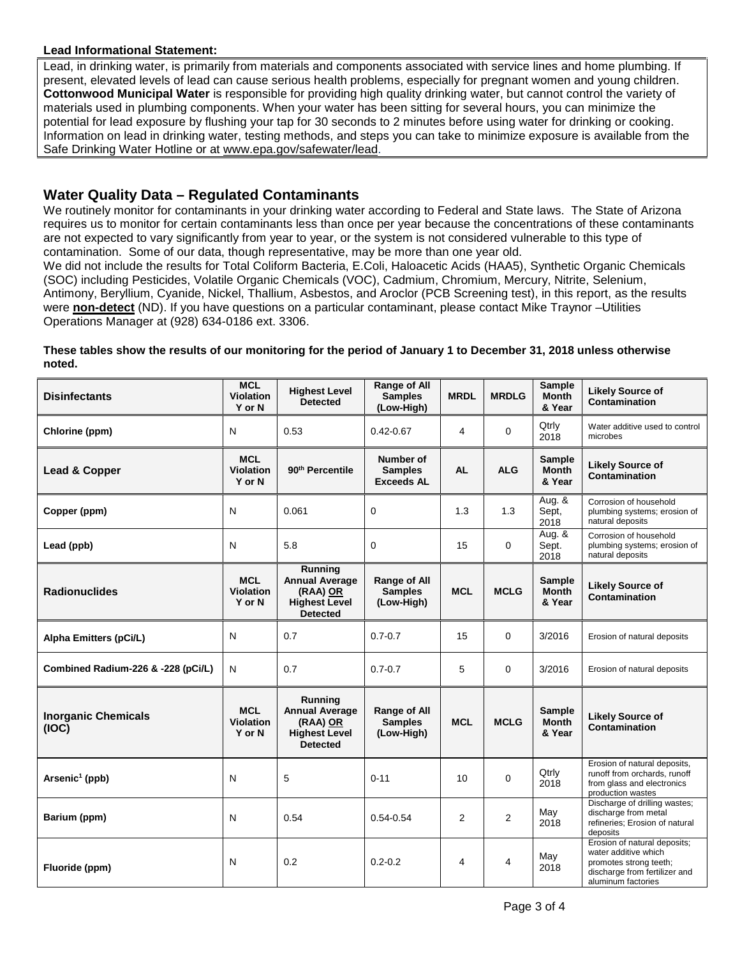## **Lead Informational Statement:**

Lead, in drinking water, is primarily from materials and components associated with service lines and home plumbing. If present, elevated levels of lead can cause serious health problems, especially for pregnant women and young children. **Cottonwood Municipal Water** is responsible for providing high quality drinking water, but cannot control the variety of materials used in plumbing components. When your water has been sitting for several hours, you can minimize the potential for lead exposure by flushing your tap for 30 seconds to 2 minutes before using water for drinking or cooking. Information on lead in drinking water, testing methods, and steps you can take to minimize exposure is available from the Safe Drinking Water Hotline or at [www.epa.gov/safewater/lead.](http://www.epa.gov/safewater/lead)

# **Water Quality Data – Regulated Contaminants**

We routinely monitor for contaminants in your drinking water according to Federal and State laws. The State of Arizona requires us to monitor for certain contaminants less than once per year because the concentrations of these contaminants are not expected to vary significantly from year to year, or the system is not considered vulnerable to this type of contamination. Some of our data, though representative, may be more than one year old.

We did not include the results for Total Coliform Bacteria, E.Coli, Haloacetic Acids (HAA5), Synthetic Organic Chemicals (SOC) including Pesticides, Volatile Organic Chemicals (VOC), Cadmium, Chromium, Mercury, Nitrite, Selenium, Antimony, Beryllium, Cyanide, Nickel, Thallium, Asbestos, and Aroclor (PCB Screening test), in this report, as the results were **non-detect** (ND). If you have questions on a particular contaminant, please contact Mike Traynor –Utilities Operations Manager at (928) 634-0186 ext. 3306.

#### **These tables show the results of our monitoring for the period of January 1 to December 31, 2018 unless otherwise noted.**

| <b>Disinfectants</b>                | <b>MCL</b><br><b>Violation</b><br>Y or N | <b>Highest Level</b><br><b>Detected</b>                                                 | Range of All<br><b>Samples</b><br>(Low-High)        | <b>MRDL</b>     | <b>MRDLG</b>   | Sample<br><b>Month</b><br>& Year        | <b>Likely Source of</b><br><b>Contamination</b>                                                                                       |
|-------------------------------------|------------------------------------------|-----------------------------------------------------------------------------------------|-----------------------------------------------------|-----------------|----------------|-----------------------------------------|---------------------------------------------------------------------------------------------------------------------------------------|
| Chlorine (ppm)                      | N                                        | 0.53                                                                                    | $0.42 - 0.67$                                       | 4               | 0              | Qtrly<br>2018                           | Water additive used to control<br>microbes                                                                                            |
| Lead & Copper                       | <b>MCL</b><br><b>Violation</b><br>Y or N | 90 <sup>th</sup> Percentile                                                             | Number of<br><b>Samples</b><br><b>Exceeds AL</b>    | <b>AL</b>       | <b>ALG</b>     | <b>Sample</b><br><b>Month</b><br>& Year | <b>Likely Source of</b><br>Contamination                                                                                              |
| Copper (ppm)                        | N                                        | 0.061                                                                                   | $\mathbf 0$                                         | 1.3             | 1.3            | Aug. &<br>Sept,<br>2018                 | Corrosion of household<br>plumbing systems; erosion of<br>natural deposits                                                            |
| Lead (ppb)                          | N                                        | 5.8                                                                                     | 0                                                   | 15              | 0              | Aug. &<br>Sept.<br>2018                 | Corrosion of household<br>plumbing systems; erosion of<br>natural deposits                                                            |
| <b>Radionuclides</b>                | <b>MCL</b><br><b>Violation</b><br>Y or N | Running<br><b>Annual Average</b><br>(RAA) OR<br><b>Highest Level</b><br><b>Detected</b> | <b>Range of All</b><br><b>Samples</b><br>(Low-High) | <b>MCL</b>      | <b>MCLG</b>    | <b>Sample</b><br>Month<br>& Year        | <b>Likely Source of</b><br>Contamination                                                                                              |
| Alpha Emitters (pCi/L)              | N                                        | 0.7                                                                                     | $0.7 - 0.7$                                         | 15              | $\Omega$       | 3/2016                                  | Erosion of natural deposits                                                                                                           |
| Combined Radium-226 & -228 (pCi/L)  | N                                        | 0.7                                                                                     | $0.7 - 0.7$                                         | 5               | $\Omega$       | 3/2016                                  | Erosion of natural deposits                                                                                                           |
| <b>Inorganic Chemicals</b><br>(IOC) | <b>MCL</b><br><b>Violation</b><br>Y or N | Running<br><b>Annual Average</b><br>(RAA) OR<br><b>Highest Level</b><br><b>Detected</b> | Range of All<br><b>Samples</b><br>(Low-High)        | <b>MCL</b>      | <b>MCLG</b>    | <b>Sample</b><br><b>Month</b><br>& Year | <b>Likely Source of</b><br><b>Contamination</b>                                                                                       |
| Arsenic <sup>1</sup> (ppb)          | N                                        | 5                                                                                       | $0 - 11$                                            | 10 <sup>°</sup> | $\Omega$       | Qtrly<br>2018                           | Erosion of natural deposits,<br>runoff from orchards, runoff<br>from glass and electronics<br>production wastes                       |
| Barium (ppm)                        | N                                        | 0.54                                                                                    | $0.54 - 0.54$                                       | 2               | $\overline{2}$ | May<br>2018                             | Discharge of drilling wastes;<br>discharge from metal<br>refineries; Erosion of natural<br>deposits                                   |
| Fluoride (ppm)                      | N                                        | 0.2                                                                                     | $0.2 - 0.2$                                         | 4               | 4              | May<br>2018                             | Erosion of natural deposits;<br>water additive which<br>promotes strong teeth;<br>discharge from fertilizer and<br>aluminum factories |